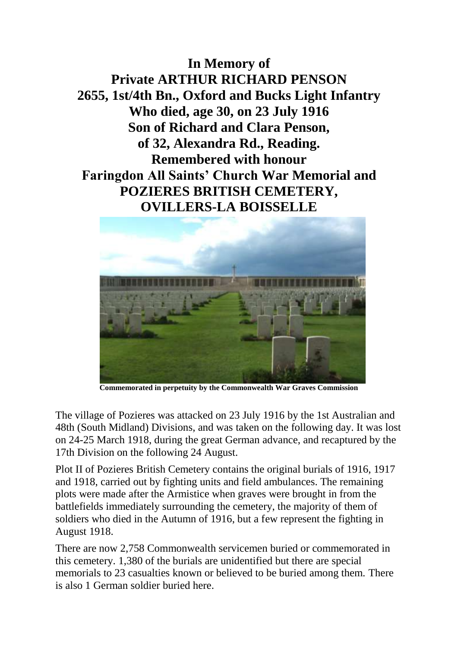**In Memory of Private ARTHUR RICHARD PENSON 2655, 1st/4th Bn., Oxford and Bucks Light Infantry Who died, age 30, on 23 July 1916 Son of Richard and Clara Penson, of 32, Alexandra Rd., Reading. Remembered with honour Faringdon All Saints' Church War Memorial and POZIERES BRITISH CEMETERY, OVILLERS-LA BOISSELLE**



**Commemorated in perpetuity by the Commonwealth War Graves Commission** 

The village of Pozieres was attacked on 23 July 1916 by the 1st Australian and 48th (South Midland) Divisions, and was taken on the following day. It was lost on 24-25 March 1918, during the great German advance, and recaptured by the 17th Division on the following 24 August.

Plot II of Pozieres British Cemetery contains the original burials of 1916, 1917 and 1918, carried out by fighting units and field ambulances. The remaining plots were made after the Armistice when graves were brought in from the battlefields immediately surrounding the cemetery, the majority of them of soldiers who died in the Autumn of 1916, but a few represent the fighting in August 1918.

There are now 2,758 Commonwealth servicemen buried or commemorated in this cemetery. 1,380 of the burials are unidentified but there are special memorials to 23 casualties known or believed to be buried among them. There is also 1 German soldier buried here.